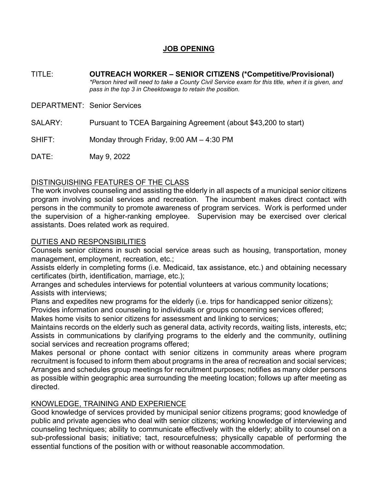# **JOB OPENING**

TITLE: **OUTREACH WORKER – SENIOR CITIZENS (\*Competitive/Provisional)** *\*Person hired will need to take a County Civil Service exam for this title, when it is given, and pass in the top 3 in Cheektowaga to retain the position.*

DEPARTMENT: Senior Services

SALARY: Pursuant to TCEA Bargaining Agreement (about \$43,200 to start)

SHIFT: Monday through Friday, 9:00 AM – 4:30 PM

DATE: May 9, 2022

### DISTINGUISHING FEATURES OF THE CLASS

The work involves counseling and assisting the elderly in all aspects of a municipal senior citizens program involving social services and recreation. The incumbent makes direct contact with persons in the community to promote awareness of program services. Work is performed under the supervision of a higher-ranking employee. Supervision may be exercised over clerical assistants. Does related work as required.

## DUTIES AND RESPONSIBILITIES

Counsels senior citizens in such social service areas such as housing, transportation, money management, employment, recreation, etc.;

Assists elderly in completing forms (i.e. Medicaid, tax assistance, etc.) and obtaining necessary certificates (birth, identification, marriage, etc.);

Arranges and schedules interviews for potential volunteers at various community locations; Assists with interviews;

Plans and expedites new programs for the elderly (i.e. trips for handicapped senior citizens);

Provides information and counseling to individuals or groups concerning services offered;

Makes home visits to senior citizens for assessment and linking to services;

Maintains records on the elderly such as general data, activity records, waiting lists, interests, etc; Assists in communications by clarifying programs to the elderly and the community, outlining social services and recreation programs offered;

Makes personal or phone contact with senior citizens in community areas where program recruitment is focused to inform them about programs in the area of recreation and social services; Arranges and schedules group meetings for recruitment purposes; notifies as many older persons as possible within geographic area surrounding the meeting location; follows up after meeting as directed.

## KNOWLEDGE, TRAINING AND EXPERIENCE

Good knowledge of services provided by municipal senior citizens programs; good knowledge of public and private agencies who deal with senior citizens; working knowledge of interviewing and counseling techniques; ability to communicate effectively with the elderly; ability to counsel on a sub-professional basis; initiative; tact, resourcefulness; physically capable of performing the essential functions of the position with or without reasonable accommodation.